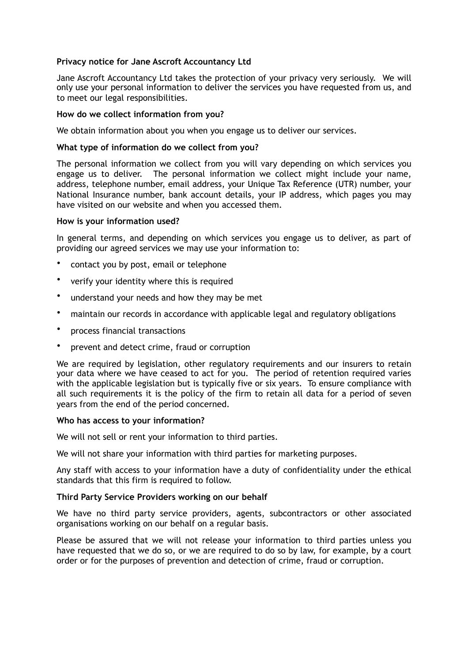# **Privacy notice for Jane Ascroft Accountancy Ltd**

Jane Ascroft Accountancy Ltd takes the protection of your privacy very seriously. We will only use your personal information to deliver the services you have requested from us, and to meet our legal responsibilities.

## **How do we collect information from you?**

We obtain information about you when you engage us to deliver our services.

## **What type of information do we collect from you?**

The personal information we collect from you will vary depending on which services you engage us to deliver. The personal information we collect might include your name, address, telephone number, email address, your Unique Tax Reference (UTR) number, your National Insurance number, bank account details, your IP address, which pages you may have visited on our website and when you accessed them.

## **How is your information used?**

In general terms, and depending on which services you engage us to deliver, as part of providing our agreed services we may use your information to:

- contact you by post, email or telephone
- verify your identity where this is required
- understand your needs and how they may be met
- maintain our records in accordance with applicable legal and regulatory obligations
- process financial transactions
- prevent and detect crime, fraud or corruption

We are required by legislation, other regulatory requirements and our insurers to retain your data where we have ceased to act for you. The period of retention required varies with the applicable legislation but is typically five or six years. To ensure compliance with all such requirements it is the policy of the firm to retain all data for a period of seven years from the end of the period concerned.

## **Who has access to your information?**

We will not sell or rent your information to third parties.

We will not share your information with third parties for marketing purposes.

Any staff with access to your information have a duty of confidentiality under the ethical standards that this firm is required to follow.

## **Third Party Service Providers working on our behalf**

We have no third party service providers, agents, subcontractors or other associated organisations working on our behalf on a regular basis.

Please be assured that we will not release your information to third parties unless you have requested that we do so, or we are required to do so by law, for example, by a court order or for the purposes of prevention and detection of crime, fraud or corruption.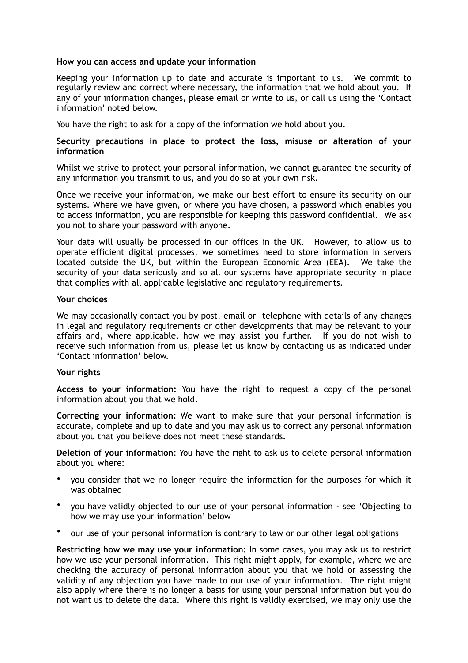## **How you can access and update your information**

Keeping your information up to date and accurate is important to us. We commit to regularly review and correct where necessary, the information that we hold about you. If any of your information changes, please email or write to us, or call us using the 'Contact information' noted below.

You have the right to ask for a copy of the information we hold about you.

## **Security precautions in place to protect the loss, misuse or alteration of your information**

Whilst we strive to protect your personal information, we cannot guarantee the security of any information you transmit to us, and you do so at your own risk.

Once we receive your information, we make our best effort to ensure its security on our systems. Where we have given, or where you have chosen, a password which enables you to access information, you are responsible for keeping this password confidential. We ask you not to share your password with anyone.

Your data will usually be processed in our offices in the UK. However, to allow us to operate efficient digital processes, we sometimes need to store information in servers located outside the UK, but within the European Economic Area (EEA). We take the security of your data seriously and so all our systems have appropriate security in place that complies with all applicable legislative and regulatory requirements.

## **Your choices**

We may occasionally contact you by post, email or telephone with details of any changes in legal and regulatory requirements or other developments that may be relevant to your affairs and, where applicable, how we may assist you further. If you do not wish to receive such information from us, please let us know by contacting us as indicated under 'Contact information' below.

## **Your rights**

**Access to your information:** You have the right to request a copy of the personal information about you that we hold.

**Correcting your information:** We want to make sure that your personal information is accurate, complete and up to date and you may ask us to correct any personal information about you that you believe does not meet these standards.

**Deletion of your information**: You have the right to ask us to delete personal information about you where:

- you consider that we no longer require the information for the purposes for which it was obtained
- you have validly objected to our use of your personal information see 'Objecting to how we may use your information' below
- our use of your personal information is contrary to law or our other legal obligations

**Restricting how we may use your information:** In some cases, you may ask us to restrict how we use your personal information. This right might apply, for example, where we are checking the accuracy of personal information about you that we hold or assessing the validity of any objection you have made to our use of your information. The right might also apply where there is no longer a basis for using your personal information but you do not want us to delete the data. Where this right is validly exercised, we may only use the